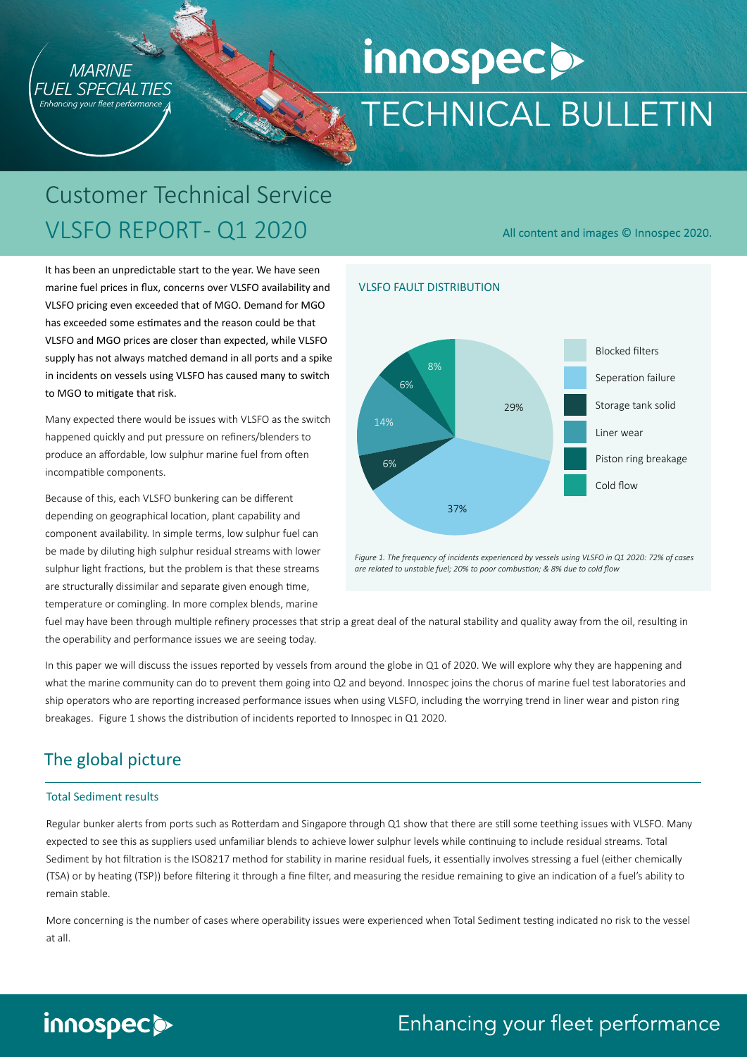

# innospecs **TECHNICAL BULLETIN**

All content and images © Innospec 2020.

# Customer Technical Service VLSFO REPORT-Q1 2020

It has been an unpredictable start to the year. We have seen marine fuel prices in flux, concerns over VLSFO availability and VLSFO pricing even exceeded that of MGO. Demand for MGO has exceeded some estimates and the reason could be that VLSFO and MGO prices are closer than expected, while VLSFO supply has not always matched demand in all ports and a spike in incidents on vessels using VLSFO has caused many to switch to MGO to mitigate that risk.

Many expected there would be issues with VLSFO as the switch happened quickly and put pressure on refiners/blenders to produce an affordable, low sulphur marine fuel from often incompatible components.

Because of this, each VLSFO bunkering can be different depending on geographical location, plant capability and component availability. In simple terms, low sulphur fuel can be made by diluting high sulphur residual streams with lower sulphur light fractions, but the problem is that these streams are structurally dissimilar and separate given enough time, temperature or comingling. In more complex blends, marine





fuel may have been through multiple refinery processes that strip a great deal of the natural stability and quality away from the oil, resulting in the operability and performance issues we are seeing today.

In this paper we will discuss the issues reported by vessels from around the globe in Q1 of 2020. We will explore why they are happening and what the marine community can do to prevent them going into Q2 and beyond. Innospec joins the chorus of marine fuel test laboratories and ship operators who are reporting increased performance issues when using VLSFO, including the worrying trend in liner wear and piston ring breakages. Figure 1 shows the distribution of incidents reported to Innospec in Q1 2020.

### The global picture

#### Total Sediment results

Regular bunker alerts from ports such as Rotterdam and Singapore through Q1 show that there are still some teething issues with VLSFO. Many expected to see this as suppliers used unfamiliar blends to achieve lower sulphur levels while continuing to include residual streams. Total Sediment by hot filtration is the ISO8217 method for stability in marine residual fuels, it essentially involves stressing a fuel (either chemically (TSA) or by heating (TSP)) before filtering it through a fine filter, and measuring the residue remaining to give an indication of a fuel's ability to remain stable.

More concerning is the number of cases where operability issues were experienced when Total Sediment testing indicated no risk to the vessel at all.

# innospecs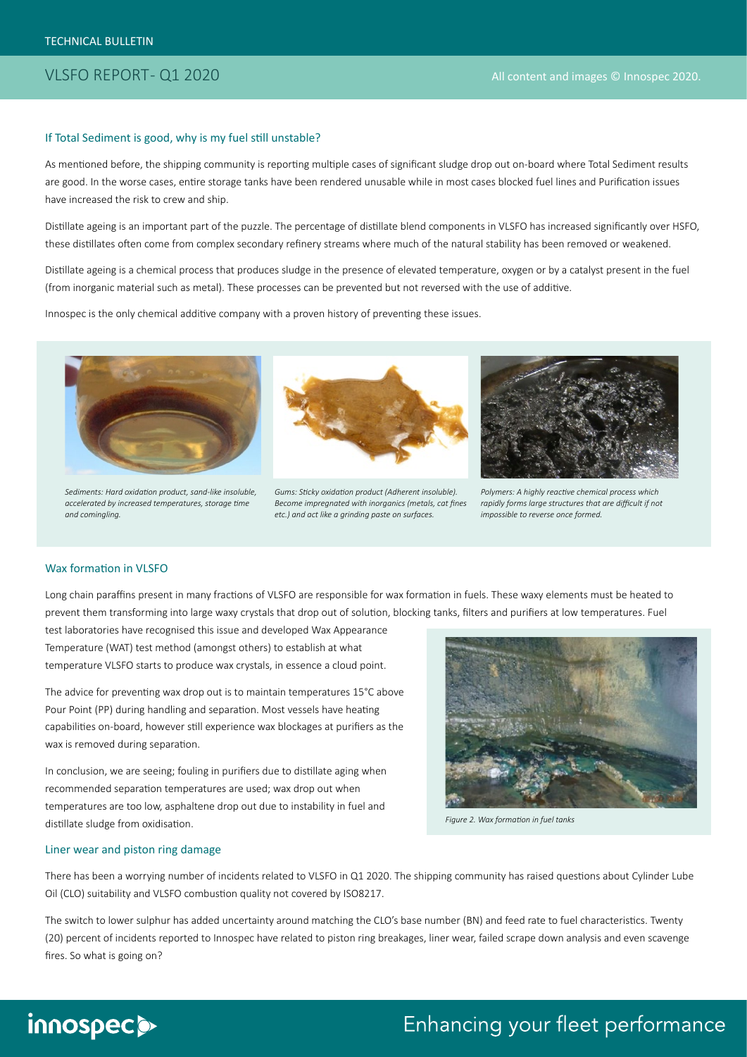#### If Total Sediment is good, why is my fuel still unstable?

As mentioned before, the shipping community is reporting multiple cases of significant sludge drop out on-board where Total Sediment results are good. In the worse cases, entire storage tanks have been rendered unusable while in most cases blocked fuel lines and Purification issues have increased the risk to crew and ship.

Distillate ageing is an important part of the puzzle. The percentage of distillate blend components in VLSFO has increased significantly over HSFO, these distillates often come from complex secondary refinery streams where much of the natural stability has been removed or weakened.

Distillate ageing is a chemical process that produces sludge in the presence of elevated temperature, oxygen or by a catalyst present in the fuel (from inorganic material such as metal). These processes can be prevented but not reversed with the use of additive.

Innospec is the only chemical additive company with a proven history of preventing these issues.



*Sediments: Hard oxidation product, sand-like insoluble, accelerated by increased temperatures, storage time and comingling.*



*Gums: Sticky oxidation product (Adherent insoluble). Become impregnated with inorganics (metals, cat fines etc.) and act like a grinding paste on surfaces.*



*Polymers: A highly reactive chemical process which rapidly forms large structures that are difficult if not impossible to reverse once formed.*

#### Wax formation in VLSFO

Long chain paraffins present in many fractions of VLSFO are responsible for wax formation in fuels. These waxy elements must be heated to prevent them transforming into large waxy crystals that drop out of solution, blocking tanks, filters and purifiers at low temperatures. Fuel

test laboratories have recognised this issue and developed Wax Appearance Temperature (WAT) test method (amongst others) to establish at what temperature VLSFO starts to produce wax crystals, in essence a cloud point.

The advice for preventing wax drop out is to maintain temperatures 15°C above Pour Point (PP) during handling and separation. Most vessels have heating capabilities on-board, however still experience wax blockages at purifiers as the wax is removed during separation.

In conclusion, we are seeing; fouling in purifiers due to distillate aging when recommended separation temperatures are used; wax drop out when temperatures are too low, asphaltene drop out due to instability in fuel and distillate sludge from oxidisation.



*Figure 2. Wax formation in fuel tanks*

#### Liner wear and piston ring damage

There has been a worrying number of incidents related to VLSFO in Q1 2020. The shipping community has raised questions about Cylinder Lube Oil (CLO) suitability and VLSFO combustion quality not covered by ISO8217.

The switch to lower sulphur has added uncertainty around matching the CLO's base number (BN) and feed rate to fuel characteristics. Twenty (20) percent of incidents reported to Innospec have related to piston ring breakages, liner wear, failed scrape down analysis and even scavenge fires. So what is going on?

# innospec>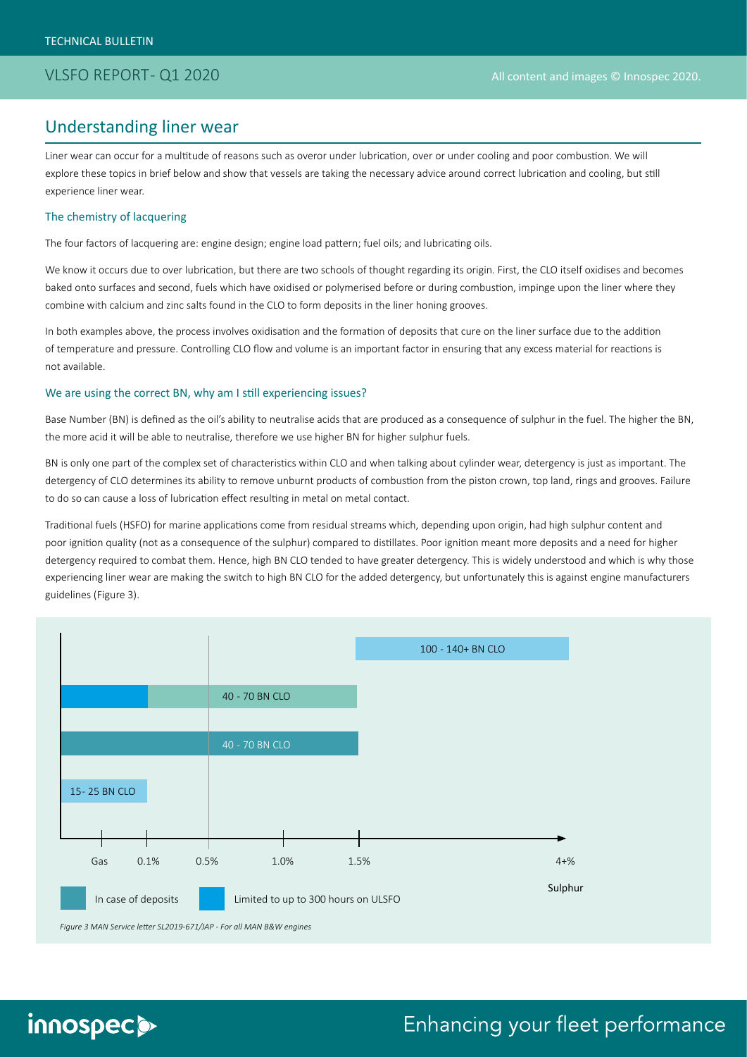### Understanding liner wear

Liner wear can occur for a multitude of reasons such as overor under lubrication, over or under cooling and poor combustion. We will explore these topics in brief below and show that vessels are taking the necessary advice around correct lubrication and cooling, but still experience liner wear.

#### The chemistry of lacquering

The four factors of lacquering are: engine design; engine load pattern; fuel oils; and lubricating oils.

We know it occurs due to over lubrication, but there are two schools of thought regarding its origin. First, the CLO itself oxidises and becomes baked onto surfaces and second, fuels which have oxidised or polymerised before or during combustion, impinge upon the liner where they combine with calcium and zinc salts found in the CLO to form deposits in the liner honing grooves.

In both examples above, the process involves oxidisation and the formation of deposits that cure on the liner surface due to the addition of temperature and pressure. Controlling CLO flow and volume is an important factor in ensuring that any excess material for reactions is not available.

#### We are using the correct BN, why am I still experiencing issues?

Base Number (BN) is defined as the oil's ability to neutralise acids that are produced as a consequence of sulphur in the fuel. The higher the BN, the more acid it will be able to neutralise, therefore we use higher BN for higher sulphur fuels.

BN is only one part of the complex set of characteristics within CLO and when talking about cylinder wear, detergency is just as important. The detergency of CLO determines its ability to remove unburnt products of combustion from the piston crown, top land, rings and grooves. Failure to do so can cause a loss of lubrication effect resulting in metal on metal contact.

Traditional fuels (HSFO) for marine applications come from residual streams which, depending upon origin, had high sulphur content and poor ignition quality (not as a consequence of the sulphur) compared to distillates. Poor ignition meant more deposits and a need for higher detergency required to combat them. Hence, high BN CLO tended to have greater detergency. This is widely understood and which is why those experiencing liner wear are making the switch to high BN CLO for the added detergency, but unfortunately this is against engine manufacturers guidelines (Figure 3).



# innospec>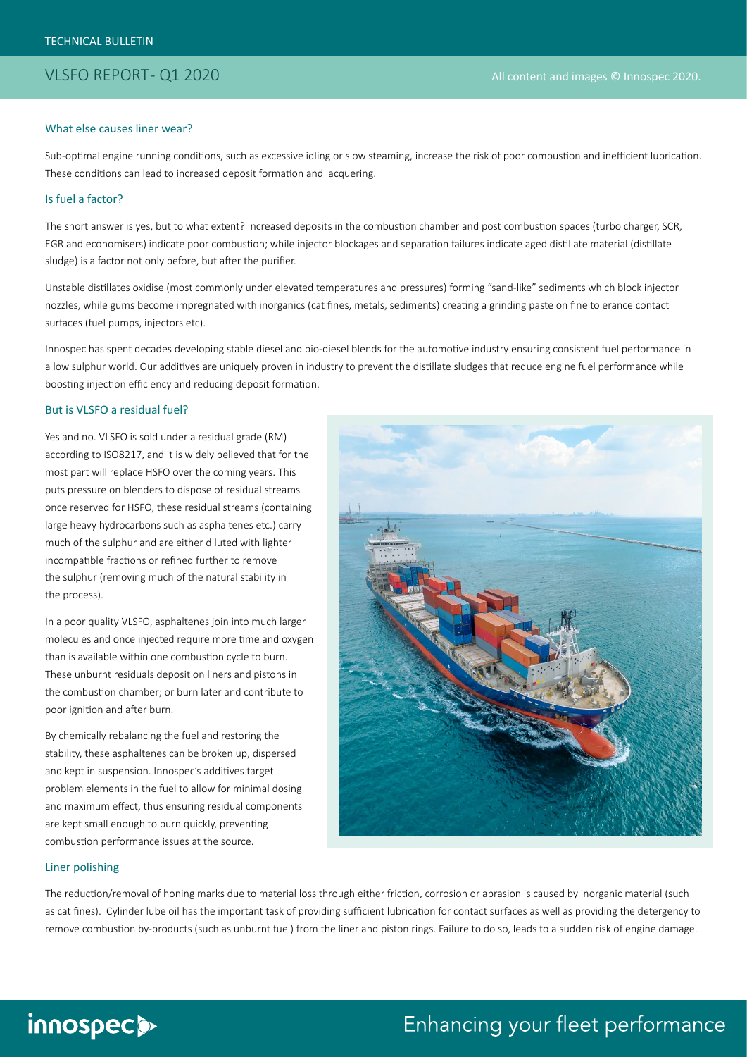#### What else causes liner wear?

Sub-optimal engine running conditions, such as excessive idling or slow steaming, increase the risk of poor combustion and inefficient lubrication. These conditions can lead to increased deposit formation and lacquering.

#### Is fuel a factor?

The short answer is yes, but to what extent? Increased deposits in the combustion chamber and post combustion spaces (turbo charger, SCR, EGR and economisers) indicate poor combustion; while injector blockages and separation failures indicate aged distillate material (distillate sludge) is a factor not only before, but after the purifier.

Unstable distillates oxidise (most commonly under elevated temperatures and pressures) forming "sand-like" sediments which block injector nozzles, while gums become impregnated with inorganics (cat fines, metals, sediments) creating a grinding paste on fine tolerance contact surfaces (fuel pumps, injectors etc).

Innospec has spent decades developing stable diesel and bio-diesel blends for the automotive industry ensuring consistent fuel performance in a low sulphur world. Our additives are uniquely proven in industry to prevent the distillate sludges that reduce engine fuel performance while boosting injection efficiency and reducing deposit formation.

#### But is VLSFO a residual fuel?

Yes and no. VLSFO is sold under a residual grade (RM) according to ISO8217, and it is widely believed that for the most part will replace HSFO over the coming years. This puts pressure on blenders to dispose of residual streams once reserved for HSFO, these residual streams (containing large heavy hydrocarbons such as asphaltenes etc.) carry much of the sulphur and are either diluted with lighter incompatible fractions or refined further to remove the sulphur (removing much of the natural stability in the process).

In a poor quality VLSFO, asphaltenes join into much larger molecules and once injected require more time and oxygen than is available within one combustion cycle to burn. These unburnt residuals deposit on liners and pistons in the combustion chamber; or burn later and contribute to poor ignition and after burn.

By chemically rebalancing the fuel and restoring the stability, these asphaltenes can be broken up, dispersed and kept in suspension. Innospec's additives target problem elements in the fuel to allow for minimal dosing and maximum effect, thus ensuring residual components are kept small enough to burn quickly, preventing combustion performance issues at the source.



#### Liner polishing

The reduction/removal of honing marks due to material loss through either friction, corrosion or abrasion is caused by inorganic material (such as cat fines). Cylinder lube oil has the important task of providing sufficient lubrication for contact surfaces as well as providing the detergency to remove combustion by-products (such as unburnt fuel) from the liner and piston rings. Failure to do so, leads to a sudden risk of engine damage.

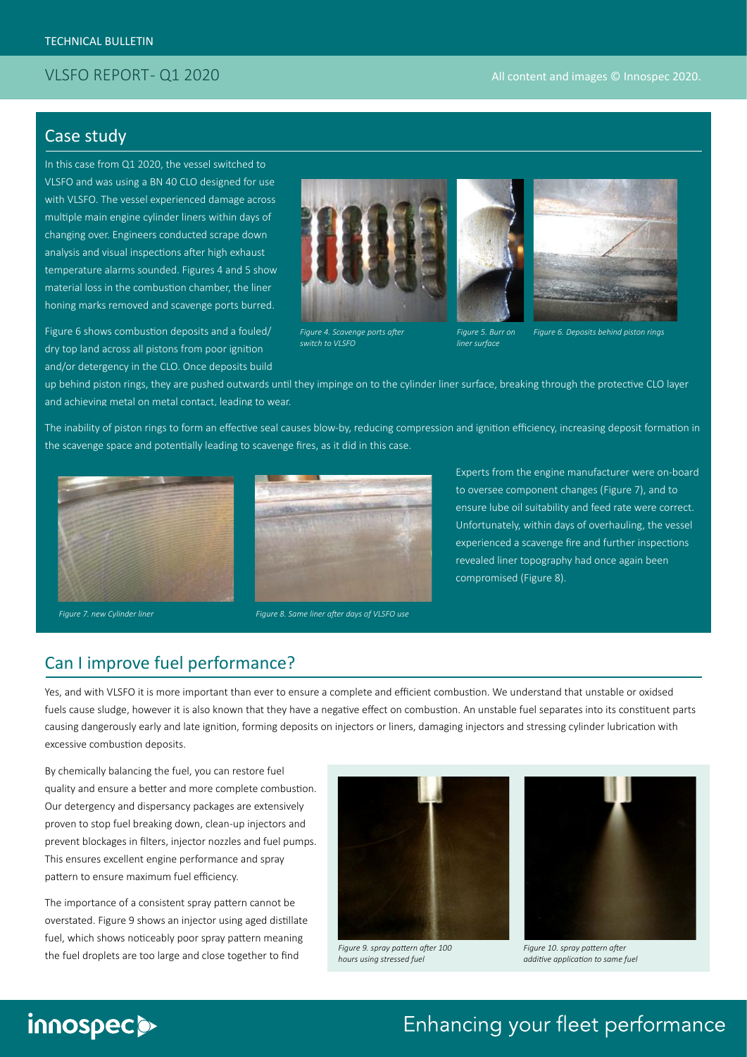### Case study

In this case from Q1 2020, the vessel switched to VLSFO and was using a BN 40 CLO designed for use with VLSFO. The vessel experienced damage across multiple main engine cylinder liners within days of changing over. Engineers conducted scrape down analysis and visual inspections after high exhaust temperature alarms sounded. Figures 4 and 5 show material loss in the combustion chamber, the liner honing marks removed and scavenge ports burred.

Figure 6 shows combustion deposits and a fouled/ dry top land across all pistons from poor ignition and/or detergency in the CLO. Once deposits build



*Figure 4. Scavenge ports after switch to VLSFO*





*Figure 5. Burr on liner surface*

*Figure 6. Deposits behind piston rings*

up behind piston rings, they are pushed outwards until they impinge on to the cylinder liner surface, breaking through the protective CLO layer and achieving metal on metal contact, leading to wear.

The inability of piston rings to form an effective seal causes blow-by, reducing compression and ignition efficiency, increasing deposit formation in the scavenge space and potentially leading to scavenge fires, as it did in this case.





Experts from the engine manufacturer were on-board to oversee component changes (Figure 7), and to ensure lube oil suitability and feed rate were correct. Unfortunately, within days of overhauling, the vessel experienced a scavenge fire and further inspections revealed liner topography had once again been compromised (Figure 8).

### Can I improve fuel performance?

Yes, and with VLSFO it is more important than ever to ensure a complete and efficient combustion. We understand that unstable or oxidsed fuels cause sludge, however it is also known that they have a negative effect on combustion. An unstable fuel separates into its constituent parts causing dangerously early and late ignition, forming deposits on injectors or liners, damaging injectors and stressing cylinder lubrication with excessive combustion deposits.

By chemically balancing the fuel, you can restore fuel quality and ensure a better and more complete combustion. Our detergency and dispersancy packages are extensively proven to stop fuel breaking down, clean-up injectors and prevent blockages in filters, injector nozzles and fuel pumps. This ensures excellent engine performance and spray pattern to ensure maximum fuel efficiency.

The importance of a consistent spray pattern cannot be overstated. Figure 9 shows an injector using aged distillate fuel, which shows noticeably poor spray pattern meaning the fuel droplets are too large and close together to find



*Figure 9. spray pattern after 100 hours using stressed fuel*



*Figure 10. spray pattern after additive application to same fuel*

# innospec>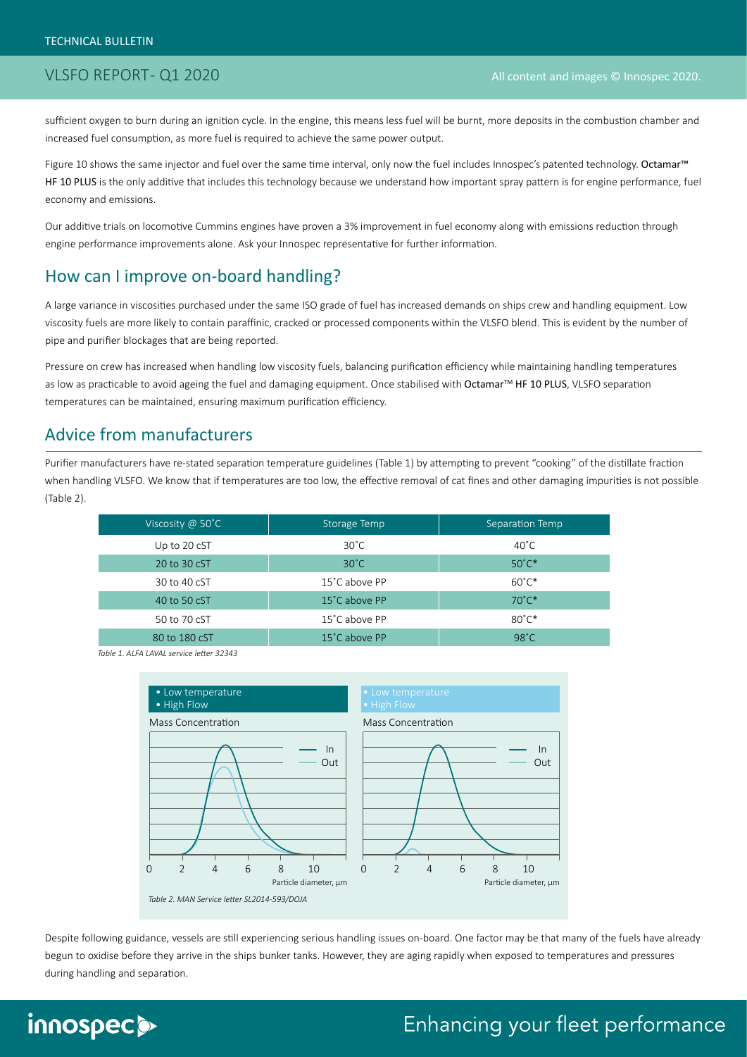sufficient oxygen to burn during an ignition cycle. In the engine, this means less fuel will be burnt, more deposits in the combustion chamber and increased fuel consumption, as more fuel is required to achieve the same power output.

Figure 10 shows the same injector and fuel over the same time interval, only now the fuel includes Innospec's patented technology. Octamar™ HF 10 PLUS is the only additive that includes this technology because we understand how important spray pattern is for engine performance, fuel economy and emissions.

Our additive trials on locomotive Cummins engines have proven a 3% improvement in fuel economy along with emissions reduction through engine performance improvements alone. Ask your Innospec representative for further information.

### How can I improve on-board handling?

A large variance in viscosities purchased under the same ISO grade of fuel has increased demands on ships crew and handling equipment. Low viscosity fuels are more likely to contain paraffinic, cracked or processed components within the VLSFO blend. This is evident by the number of pipe and purifier blockages that are being reported.

Pressure on crew has increased when handling low viscosity fuels, balancing purification efficiency while maintaining handling temperatures as low as practicable to avoid ageing the fuel and damaging equipment. Once stabilised with Octamar<sup>TM</sup> HF 10 PLUS, VLSFO separation temperatures can be maintained, ensuring maximum purification efficiency.

### Advice from manufacturers

Purifier manufacturers have re-stated separation temperature guidelines (Table 1) by attempting to prevent "cooking" of the distillate fraction when handling VLSFO. We know that if temperatures are too low, the effective removal of cat fines and other damaging impurities is not possible (Table 2).

| Viscosity @ 50°C | Storage Temp   | Separation Temp |
|------------------|----------------|-----------------|
| Up to 20 cST     | $30^{\circ}$ C | $40^{\circ}$ C  |
| 20 to 30 cST     | $30^{\circ}$ C | $50^{\circ}$ C* |
| 30 to 40 cST     | 15°C above PP  | $60^{\circ}$ C* |
| 40 to 50 cST     | 15°C above PP  | $70^{\circ}$ C* |
| 50 to 70 cST     | 15°C above PP  | $80^{\circ}$ C* |
| 80 to 180 cST    | 15°C above PP  | $98^{\circ}$ C  |

*Table 1. ALFA LAVAL service letter 32343*



Despite following guidance, vessels are still experiencing serious handling issues on-board. One factor may be that many of the fuels have already begun to oxidise before they arrive in the ships bunker tanks. However, they are aging rapidly when exposed to temperatures and pressures during handling and separation.

# innospec>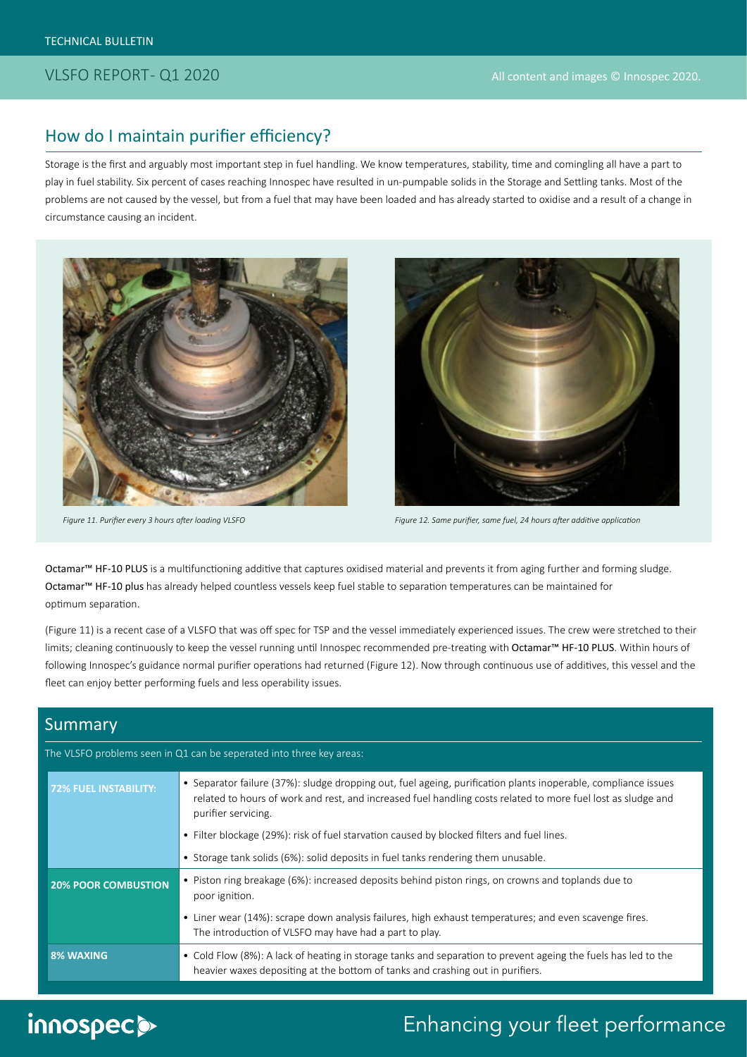### How do I maintain purifier efficiency?

Storage is the first and arguably most important step in fuel handling. We know temperatures, stability, time and comingling all have a part to play in fuel stability. Six percent of cases reaching Innospec have resulted in un-pumpable solids in the Storage and Settling tanks. Most of the problems are not caused by the vessel, but from a fuel that may have been loaded and has already started to oxidise and a result of a change in circumstance causing an incident.





*Figure 11. Purifier every 3 hours after loading VLSFO Figure 12. Same purifier, same fuel, 24 hours after additive application*

Octamar™ HF-10 PLUS is a multifunctioning additive that captures oxidised material and prevents it from aging further and forming sludge. Octamar™ HF-10 plus has already helped countless vessels keep fuel stable to separation temperatures can be maintained for optimum separation.

(Figure 11) is a recent case of a VLSFO that was off spec for TSP and the vessel immediately experienced issues. The crew were stretched to their limits; cleaning continuously to keep the vessel running until Innospec recommended pre-treating with Octamar™ HF-10 PLUS. Within hours of following Innospec's guidance normal purifier operations had returned (Figure 12). Now through continuous use of additives, this vessel and the fleet can enjoy better performing fuels and less operability issues.

### Summary

### The VLSFO problems seen in Q1 can be seperated into three key areas: **72% FUEL INSTABILITY:** • Separator failure (37%): sludge dropping out, fuel ageing, purification plants inoperable, compliance issues related to hours of work and rest, and increased fuel handling costs related to more fuel lost as sludge and purifier servicing. • Filter blockage (29%): risk of fuel starvation caused by blocked filters and fuel lines. • Storage tank solids (6%): solid deposits in fuel tanks rendering them unusable. **20% POOR COMBUSTION** • Piston ring breakage (6%): increased deposits behind piston rings, on crowns and toplands due to poor ignition. • Liner wear (14%): scrape down analysis failures, high exhaust temperatures; and even scavenge fires. The introduction of VLSFO may have had a part to play. **8% WAXING** • Cold Flow (8%): A lack of heating in storage tanks and separation to prevent ageing the fuels has led to the heavier waxes depositing at the bottom of tanks and crashing out in purifiers.

# innospec>